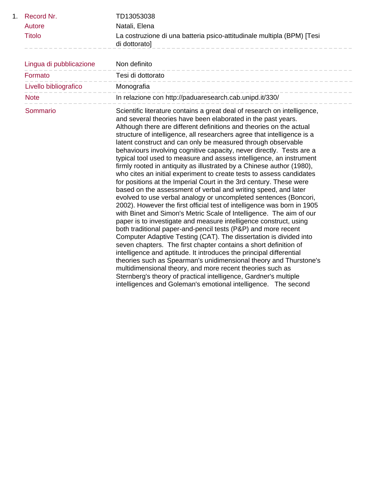|    | Record Nr.              | TD13053038                                                                                                                                                                                                                                                                                                                                                                                                                                                                                                                                                                                                                                                                                                                                                                                                                                                                                                                                                                                                                                                                                                                                                                                                                                                                                                                                                                                                                                                                                                                                                                                                                                             |
|----|-------------------------|--------------------------------------------------------------------------------------------------------------------------------------------------------------------------------------------------------------------------------------------------------------------------------------------------------------------------------------------------------------------------------------------------------------------------------------------------------------------------------------------------------------------------------------------------------------------------------------------------------------------------------------------------------------------------------------------------------------------------------------------------------------------------------------------------------------------------------------------------------------------------------------------------------------------------------------------------------------------------------------------------------------------------------------------------------------------------------------------------------------------------------------------------------------------------------------------------------------------------------------------------------------------------------------------------------------------------------------------------------------------------------------------------------------------------------------------------------------------------------------------------------------------------------------------------------------------------------------------------------------------------------------------------------|
|    | Autore                  | Natali, Elena                                                                                                                                                                                                                                                                                                                                                                                                                                                                                                                                                                                                                                                                                                                                                                                                                                                                                                                                                                                                                                                                                                                                                                                                                                                                                                                                                                                                                                                                                                                                                                                                                                          |
|    | <b>Titolo</b>           | La costruzione di una batteria psico-attitudinale multipla (BPM) [Tesi<br>di dottorato]                                                                                                                                                                                                                                                                                                                                                                                                                                                                                                                                                                                                                                                                                                                                                                                                                                                                                                                                                                                                                                                                                                                                                                                                                                                                                                                                                                                                                                                                                                                                                                |
| 1. |                         |                                                                                                                                                                                                                                                                                                                                                                                                                                                                                                                                                                                                                                                                                                                                                                                                                                                                                                                                                                                                                                                                                                                                                                                                                                                                                                                                                                                                                                                                                                                                                                                                                                                        |
|    | Lingua di pubblicazione | Non definito                                                                                                                                                                                                                                                                                                                                                                                                                                                                                                                                                                                                                                                                                                                                                                                                                                                                                                                                                                                                                                                                                                                                                                                                                                                                                                                                                                                                                                                                                                                                                                                                                                           |
|    | Formato                 | Tesi di dottorato<br>__________________________                                                                                                                                                                                                                                                                                                                                                                                                                                                                                                                                                                                                                                                                                                                                                                                                                                                                                                                                                                                                                                                                                                                                                                                                                                                                                                                                                                                                                                                                                                                                                                                                        |
|    | Livello bibliografico   | Monografia                                                                                                                                                                                                                                                                                                                                                                                                                                                                                                                                                                                                                                                                                                                                                                                                                                                                                                                                                                                                                                                                                                                                                                                                                                                                                                                                                                                                                                                                                                                                                                                                                                             |
|    | <b>Note</b>             | In relazione con http://paduaresearch.cab.unipd.it/330/                                                                                                                                                                                                                                                                                                                                                                                                                                                                                                                                                                                                                                                                                                                                                                                                                                                                                                                                                                                                                                                                                                                                                                                                                                                                                                                                                                                                                                                                                                                                                                                                |
|    | Sommario                | Scientific literature contains a great deal of research on intelligence,<br>and several theories have been elaborated in the past years.<br>Although there are different definitions and theories on the actual<br>structure of intelligence, all researchers agree that intelligence is a<br>latent construct and can only be measured through observable<br>behaviours involving cognitive capacity, never directly. Tests are a<br>typical tool used to measure and assess intelligence, an instrument<br>firmly rooted in antiquity as illustrated by a Chinese author (1980),<br>who cites an initial experiment to create tests to assess candidates<br>for positions at the Imperial Court in the 3rd century. These were<br>based on the assessment of verbal and writing speed, and later<br>evolved to use verbal analogy or uncompleted sentences (Boncori,<br>2002). However the first official test of intelligence was born in 1905<br>with Binet and Simon's Metric Scale of Intelligence. The aim of our<br>paper is to investigate and measure intelligence construct, using<br>both traditional paper-and-pencil tests (P&P) and more recent<br>Computer Adaptive Testing (CAT). The dissertation is divided into<br>seven chapters. The first chapter contains a short definition of<br>intelligence and aptitude. It introduces the principal differential<br>theories such as Spearman's unidimensional theory and Thurstone's<br>multidimensional theory, and more recent theories such as<br>Sternberg's theory of practical intelligence, Gardner's multiple<br>intelligences and Goleman's emotional intelligence. The second |